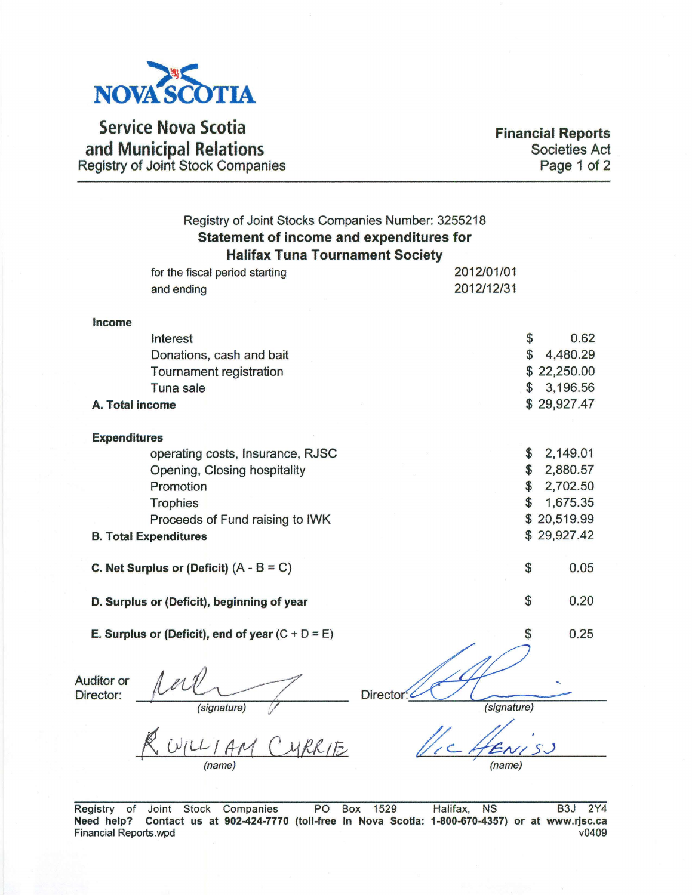

Service Nova Scotia and Municipal Relations Registry of Joint Stock Companies

Financial Reports Societies Act Page 1 of 2

| Registry of Joint Stocks Companies Number: 3255218<br><b>Statement of income and expenditures for</b><br><b>Halifax Tuna Tournament Society</b> |                                                    |                          |             |  |  |  |
|-------------------------------------------------------------------------------------------------------------------------------------------------|----------------------------------------------------|--------------------------|-------------|--|--|--|
|                                                                                                                                                 | for the fiscal period starting                     | 2012/01/01               |             |  |  |  |
|                                                                                                                                                 | and ending                                         | 2012/12/31               |             |  |  |  |
| Income                                                                                                                                          |                                                    |                          |             |  |  |  |
|                                                                                                                                                 | Interest                                           | \$                       | 0.62        |  |  |  |
|                                                                                                                                                 | Donations, cash and bait                           | \$                       | 4,480.29    |  |  |  |
|                                                                                                                                                 | Tournament registration                            |                          | \$22,250.00 |  |  |  |
|                                                                                                                                                 | Tuna sale                                          | \$                       | 3,196.56    |  |  |  |
|                                                                                                                                                 | A. Total income                                    |                          | \$29,927.47 |  |  |  |
|                                                                                                                                                 |                                                    |                          |             |  |  |  |
| <b>Expenditures</b>                                                                                                                             | operating costs, Insurance, RJSC                   | \$                       | 2,149.01    |  |  |  |
|                                                                                                                                                 |                                                    | \$                       | 2,880.57    |  |  |  |
|                                                                                                                                                 | Opening, Closing hospitality<br>Promotion          | \$                       | 2,702.50    |  |  |  |
|                                                                                                                                                 |                                                    |                          |             |  |  |  |
|                                                                                                                                                 | <b>Trophies</b>                                    | \$                       | 1,675.35    |  |  |  |
|                                                                                                                                                 | Proceeds of Fund raising to IWK                    |                          | \$20,519.99 |  |  |  |
|                                                                                                                                                 | <b>B. Total Expenditures</b>                       |                          | \$29,927.42 |  |  |  |
|                                                                                                                                                 | C. Net Surplus or (Deficit) $(A - B = C)$          | $\mathcal{S}$            | 0.05        |  |  |  |
|                                                                                                                                                 | D. Surplus or (Deficit), beginning of year         | \$                       | 0.20        |  |  |  |
|                                                                                                                                                 | E. Surplus or (Deficit), end of year $(C + D = E)$ |                          | 0.25        |  |  |  |
| Auditor or<br>Director:                                                                                                                         | signature)                                         | Director:<br>(signature) |             |  |  |  |
|                                                                                                                                                 |                                                    | (name)                   |             |  |  |  |
|                                                                                                                                                 |                                                    |                          |             |  |  |  |

Registry of Joint Stock Companies PO Box 1529 Halifax, NS B3J 2Y4 Need help? Contact us at 902-424-7770 (toll-free in Nova Scotia: 1-800-670-4357) or at www.rjsc.ca<br>Financial Reports.wpd Financial Reports.wpd